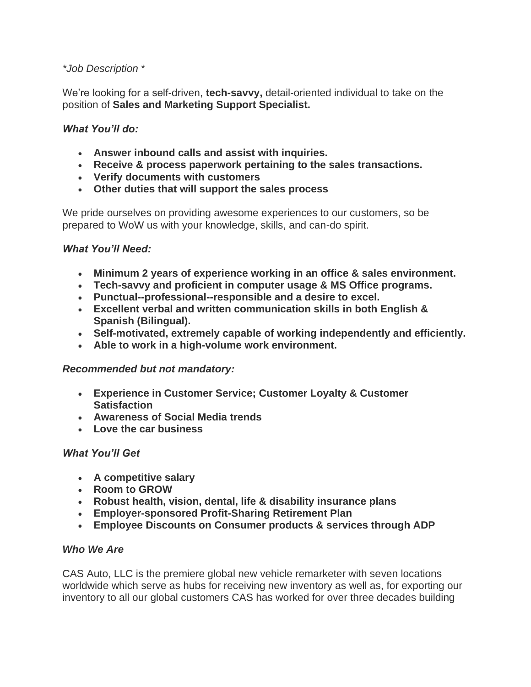# *\*Job Description* \*

We're looking for a self-driven, **tech-savvy,** detail-oriented individual to take on the position of **Sales and Marketing Support Specialist.**

## *What You'll do:*

- **Answer inbound calls and assist with inquiries.**
- **Receive & process paperwork pertaining to the sales transactions.**
- **Verify documents with customers**
- **Other duties that will support the sales process**

We pride ourselves on providing awesome experiences to our customers, so be prepared to WoW us with your knowledge, skills, and can-do spirit.

### *What You'll Need:*

- **Minimum 2 years of experience working in an office & sales environment.**
- **Tech-savvy and proficient in computer usage & MS Office programs.**
- **Punctual--professional--responsible and a desire to excel.**
- **Excellent verbal and written communication skills in both English & Spanish (Bilingual).**
- **Self-motivated, extremely capable of working independently and efficiently.**
- **Able to work in a high-volume work environment.**

### *Recommended but not mandatory:*

- **Experience in Customer Service; Customer Loyalty & Customer Satisfaction**
- **Awareness of Social Media trends**
- **Love the car business**

### *What You'll Get*

- **A competitive salary**
- **Room to GROW**
- **Robust health, vision, dental, life & disability insurance plans**
- **Employer-sponsored Profit-Sharing Retirement Plan**
- **Employee Discounts on Consumer products & services through ADP**

### *Who We Are*

CAS Auto, LLC is the premiere global new vehicle remarketer with seven locations worldwide which serve as hubs for receiving new inventory as well as, for exporting our inventory to all our global customers CAS has worked for over three decades building